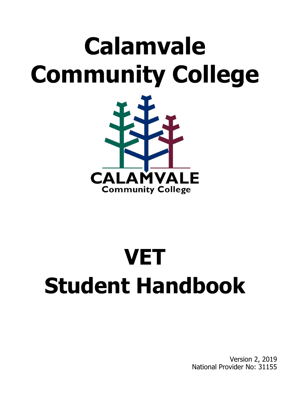# **Calamvale Community College**



# **VET Student Handbook**

Version 2, 2019 National Provider No: 31155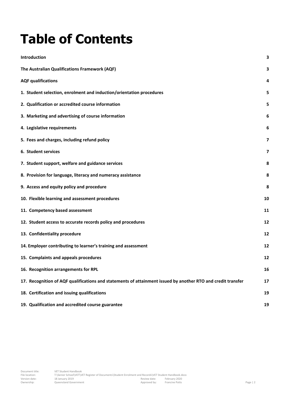## **Table of Contents**

| Introduction                                                                                                 | 3  |
|--------------------------------------------------------------------------------------------------------------|----|
| The Australian Qualifications Framework (AQF)                                                                | 3  |
| <b>AQF qualifications</b>                                                                                    | 4  |
| 1. Student selection, enrolment and induction/orientation procedures                                         | 5  |
| 2. Qualification or accredited course information                                                            | 5  |
| 3. Marketing and advertising of course information                                                           | 6  |
| 4. Legislative requirements                                                                                  | 6  |
| 5. Fees and charges, including refund policy                                                                 | 7  |
| 6. Student services                                                                                          | 7  |
| 7. Student support, welfare and guidance services                                                            | 8  |
| 8. Provision for language, literacy and numeracy assistance                                                  | 8  |
| 9. Access and equity policy and procedure                                                                    | 8  |
| 10. Flexible learning and assessment procedures                                                              | 10 |
| 11. Competency based assessment                                                                              | 11 |
| 12. Student access to accurate records policy and procedures                                                 | 12 |
| 13. Confidentiality procedure                                                                                | 12 |
| 14. Employer contributing to learner's training and assessment                                               | 12 |
| 15. Complaints and appeals procedures                                                                        | 12 |
| 16. Recognition arrangements for RPL                                                                         | 16 |
| 17. Recognition of AQF qualifications and statements of attainment issued by another RTO and credit transfer | 17 |
| 18. Certification and issuing qualifications                                                                 | 19 |
| 19. Qualification and accredited course guarantee                                                            | 19 |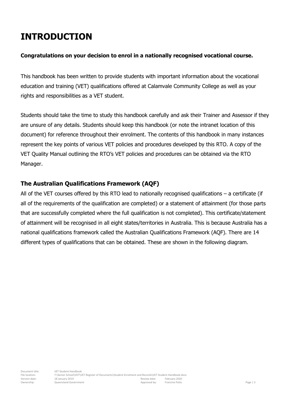### <span id="page-2-0"></span>**INTRODUCTION**

#### **Congratulations on your decision to enrol in a nationally recognised vocational course.**

This handbook has been written to provide students with important information about the vocational education and training (VET) qualifications offered at Calamvale Community College as well as your rights and responsibilities as a VET student.

Students should take the time to study this handbook carefully and ask their Trainer and Assessor if they are unsure of any details. Students should keep this handbook (or note the intranet location of this document) for reference throughout their enrolment. The contents of this handbook in many instances represent the key points of various VET policies and procedures developed by this RTO. A copy of the VET Quality Manual outlining the RTO's VET policies and procedures can be obtained via the RTO Manager.

#### <span id="page-2-1"></span>**The Australian Qualifications Framework (AQF)**

All of the VET courses offered by this RTO lead to nationally recognised qualifications – a certificate (if all of the requirements of the qualification are completed) or a statement of attainment (for those parts that are successfully completed where the full qualification is not completed). This certificate/statement of attainment will be recognised in all eight states/territories in Australia. This is because Australia has a national qualifications framework called the Australian Qualifications Framework (AQF). There are 14 different types of qualifications that can be obtained. These are shown in the following diagram.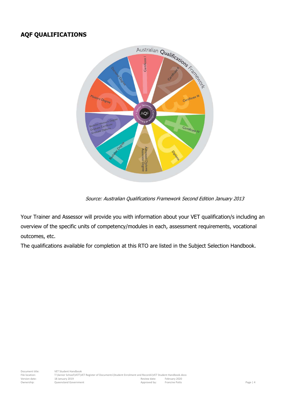#### <span id="page-3-0"></span>**AQF QUALIFICATIONS**



Source: Australian Qualifications Framework Second Edition January 2013

Your Trainer and Assessor will provide you with information about your VET qualification/s including an overview of the specific units of competency/modules in each, assessment requirements, vocational outcomes, etc.

The qualifications available for completion at this RTO are listed in the Subject Selection Handbook.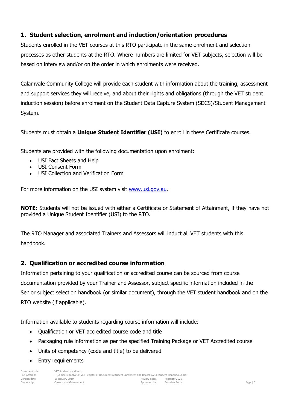#### <span id="page-4-0"></span>**1. Student selection, enrolment and induction/orientation procedures**

Students enrolled in the VET courses at this RTO participate in the same enrolment and selection processes as other students at the RTO. Where numbers are limited for VET subjects, selection will be based on interview and/or on the order in which enrolments were received.

Calamvale Community College will provide each student with information about the training, assessment and support services they will receive, and about their rights and obligations (through the VET student induction session) before enrolment on the Student Data Capture System (SDCS)/Student Management System.

Students must obtain a **Unique Student Identifier (USI)** to enroll in these Certificate courses.

Students are provided with the following documentation upon enrolment:

- USI Fact Sheets and Help
- USI Consent Form
- USI Collection and Verification Form

For more information on the USI system visit [www.usi.gov.au.](http://www.usi.gov.au/)

**NOTE:** Students will not be issued with either a Certificate or Statement of Attainment, if they have not provided a Unique Student Identifier (USI) to the RTO.

The RTO Manager and associated Trainers and Assessors will induct all VET students with this handbook.

#### <span id="page-4-1"></span>**2. Qualification or accredited course information**

Information pertaining to your qualification or accredited course can be sourced from course documentation provided by your Trainer and Assessor, subject specific information included in the Senior subject selection handbook (or similar document), through the VET student handbook and on the RTO website (if applicable).

Information available to students regarding course information will include:

- Qualification or VET accredited course code and title
- Packaging rule information as per the specified Training Package or VET Accredited course
- Units of competency (code and title) to be delivered
- Entry requirements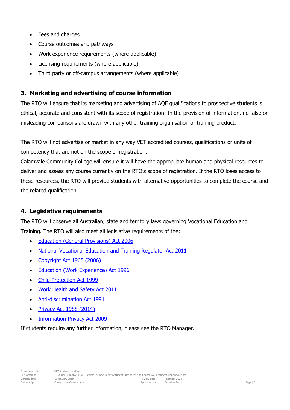- Fees and charges
- Course outcomes and pathways
- Work experience requirements (where applicable)
- Licensing requirements (where applicable)
- Third party or off-campus arrangements (where applicable)

#### <span id="page-5-0"></span>**3. Marketing and advertising of course information**

The RTO will ensure that its marketing and advertising of AQF qualifications to prospective students is ethical, accurate and consistent with its scope of registration. In the provision of information, no false or misleading comparisons are drawn with any other training organisation or training product.

The RTO will not advertise or market in any way VET accredited courses, qualifications or units of competency that are not on the scope of registration.

Calamvale Community College will ensure it will have the appropriate human and physical resources to deliver and assess any course currently on the RTO's scope of registration. If the RTO loses access to these resources, the RTO will provide students with alternative opportunities to complete the course and the related qualification.

#### <span id="page-5-1"></span>**4. Legislative requirements**

The RTO will observe all Australian, state and territory laws governing Vocational Education and Training. The RTO will also meet all legislative requirements of the:

- **•** [Education \(General Provisions\) Act 2006](https://www.legislation.qld.gov.au/LEGISLTN/CURRENT/E/EducGenPrA06.pdf)
- [National Vocational Education and Training Regulator Act 2011](http://www.comlaw.gov.au/Details/C2014C00623/77524942-2969-4aab-bdce-529b95ebb2f9)
- [Copyright Act 1968 \(2006\)](http://www.comlaw.gov.au/Details/C2014C00291/394cbe1c-c423-4f21-8cb8-3272a064aab4)
- [Education \(Work Experience\) Act 1996](https://www.legislation.qld.gov.au/LEGISLTN/CURRENT/E/EducWkExA96.pdf)
- [Child Protection Act 1999](https://www.legislation.qld.gov.au/LEGISLTN/CURRENT/C/ChildProtectA99.pdf)
- [Work Health and Safety Act 2011](https://www.legislation.qld.gov.au/LEGISLTN/CURRENT/W/WorkHSA11.pdf)
- [Anti-discrimination Act 1991](https://www.legislation.qld.gov.au/LEGISLTN/CURRENT/A/AntiDiscrimA91.pdf)
- [Privacy Act 1988 \(2014\)](http://www.comlaw.gov.au/Details/C2014C00757/9f9e7235-b12a-42f5-a77f-3aeb9d5b1736)
- [Information Privacy Act 2009](https://www.legislation.qld.gov.au/LEGISLTN/CURRENT/I/InfoPrivA09.pdf)

<span id="page-5-2"></span>If students require any further information, please see the RTO Manager.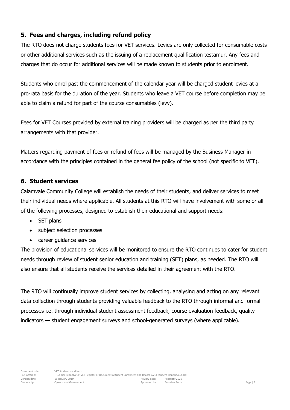#### **5. Fees and charges, including refund policy**

The RTO does not charge students fees for VET services. Levies are only collected for consumable costs or other additional services such as the issuing of a replacement qualification testamur. Any fees and charges that do occur for additional services will be made known to students prior to enrolment.

Students who enrol past the commencement of the calendar year will be charged student levies at a pro-rata basis for the duration of the year. Students who leave a VET course before completion may be able to claim a refund for part of the course consumables (levy).

Fees for VET Courses provided by external training providers will be charged as per the third party arrangements with that provider.

Matters regarding payment of fees or refund of fees will be managed by the Business Manager in accordance with the principles contained in the general fee policy of the school (not specific to VET).

#### <span id="page-6-0"></span>**6. Student services**

Calamvale Community College will establish the needs of their students, and deliver services to meet their individual needs where applicable. All students at this RTO will have involvement with some or all of the following processes, designed to establish their educational and support needs:

- SET plans
- subject selection processes
- career quidance services

The provision of educational services will be monitored to ensure the RTO continues to cater for student needs through review of student senior education and training (SET) plans, as needed. The RTO will also ensure that all students receive the services detailed in their agreement with the RTO.

<span id="page-6-1"></span>The RTO will continually improve student services by collecting, analysing and acting on any relevant data collection through students providing valuable feedback to the RTO through informal and formal processes i.e. through individual student assessment feedback, course evaluation feedback, quality indicators — student engagement surveys and school-generated surveys (where applicable).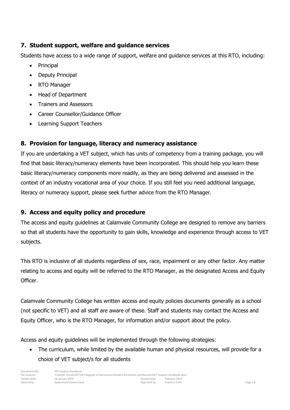#### **7. Student support, welfare and guidance services**

Students have access to a wide range of support, welfare and guidance services at this RTO, including:

- Principal
- Deputy Principal
- RTO Manager
- Head of Department
- Trainers and Assessors
- Career Counsellor/Guidance Officer
- Learning Support Teachers

#### <span id="page-7-0"></span>**8. Provision for language, literacy and numeracy assistance**

If you are undertaking a VET subject, which has units of competency from a training package, you will find that basic literacy/numeracy elements have been incorporated. This should help you learn these basic literacy/numeracy components more readily, as they are being delivered and assessed in the context of an industry vocational area of your choice. If you still feel you need additional language, literacy or numeracy support, please seek further advice from the RTO Manager.

#### <span id="page-7-1"></span>**9. Access and equity policy and procedure**

The access and equity guidelines at Calamvale Community College are designed to remove any barriers so that all students have the opportunity to gain skills, knowledge and experience through access to VET subjects.

This RTO is inclusive of all students regardless of sex, race, impairment or any other factor. Any matter relating to access and equity will be referred to the RTO Manager, as the designated Access and Equity Officer.

Calamvale Community College has written access and equity policies documents generally as a school (not specific to VET) and all staff are aware of these. Staff and students may contact the Access and Equity Officer, who is the RTO Manager, for information and/or support about the policy.

Access and equity guidelines will be implemented through the following strategies:

• The curriculum, while limited by the available human and physical resources, will provide for a choice of VET subject/s for all students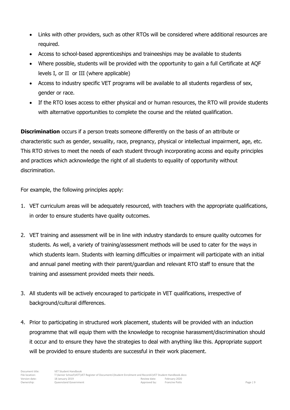- Links with other providers, such as other RTOs will be considered where additional resources are required.
- Access to school-based apprenticeships and traineeships may be available to students
- Where possible, students will be provided with the opportunity to gain a full Certificate at AQF levels I, or II or III (where applicable)
- Access to industry specific VET programs will be available to all students regardless of sex, gender or race.
- If the RTO loses access to either physical and or human resources, the RTO will provide students with alternative opportunities to complete the course and the related qualification.

**Discrimination** occurs if a person treats someone differently on the basis of an attribute or characteristic such as gender, sexuality, race, pregnancy, physical or intellectual impairment, age, etc. This RTO strives to meet the needs of each student through incorporating access and equity principles and practices which acknowledge the right of all students to equality of opportunity without discrimination.

For example, the following principles apply:

- 1. VET curriculum areas will be adequately resourced, with teachers with the appropriate qualifications, in order to ensure students have quality outcomes.
- 2. VET training and assessment will be in line with industry standards to ensure quality outcomes for students. As well, a variety of training/assessment methods will be used to cater for the ways in which students learn. Students with learning difficulties or impairment will participate with an initial and annual panel meeting with their parent/guardian and relevant RTO staff to ensure that the training and assessment provided meets their needs.
- 3. All students will be actively encouraged to participate in VET qualifications, irrespective of background/cultural differences.
- 4. Prior to participating in structured work placement, students will be provided with an induction programme that will equip them with the knowledge to recognise harassment/discrimination should it occur and to ensure they have the strategies to deal with anything like this. Appropriate support will be provided to ensure students are successful in their work placement.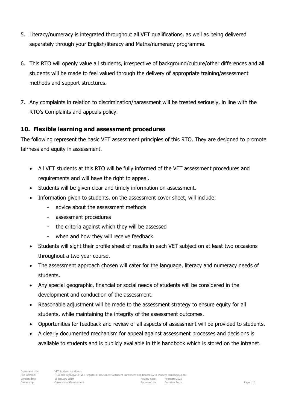- 5. Literacy/numeracy is integrated throughout all VET qualifications, as well as being delivered separately through your English/literacy and Maths/numeracy programme.
- 6. This RTO will openly value all students, irrespective of background/culture/other differences and all students will be made to feel valued through the delivery of appropriate training/assessment methods and support structures.
- 7. Any complaints in relation to discrimination/harassment will be treated seriously, in line with the RTO's Complaints and appeals policy.

#### <span id="page-9-0"></span>**10. Flexible learning and assessment procedures**

The following represent the basic VET assessment principles of this RTO. They are designed to promote fairness and equity in assessment.

- All VET students at this RTO will be fully informed of the VET assessment procedures and requirements and will have the right to appeal.
- Students will be given clear and timely information on assessment.
- Information given to students, on the assessment cover sheet, will include:
	- advice about the assessment methods
	- assessment procedures
	- the criteria against which they will be assessed
	- when and how they will receive feedback.
- Students will sight their profile sheet of results in each VET subject on at least two occasions throughout a two year course.
- The assessment approach chosen will cater for the language, literacy and numeracy needs of students.
- Any special geographic, financial or social needs of students will be considered in the development and conduction of the assessment.
- Reasonable adjustment will be made to the assessment strategy to ensure equity for all students, while maintaining the integrity of the assessment outcomes.
- Opportunities for feedback and review of all aspects of assessment will be provided to students.
- A clearly documented mechanism for appeal against assessment processes and decisions is available to students and is publicly available in this handbook which is stored on the intranet.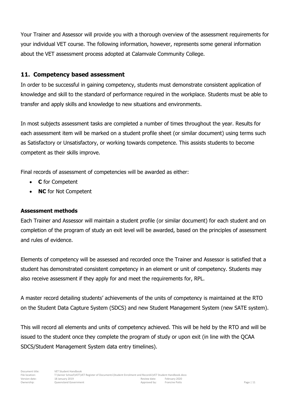Your Trainer and Assessor will provide you with a thorough overview of the assessment requirements for your individual VET course. The following information, however, represents some general information about the VET assessment process adopted at Calamvale Community College.

#### <span id="page-10-0"></span>**11. Competency based assessment**

In order to be successful in gaining competency, students must demonstrate consistent application of knowledge and skill to the standard of performance required in the workplace. Students must be able to transfer and apply skills and knowledge to new situations and environments.

In most subjects assessment tasks are completed a number of times throughout the year. Results for each assessment item will be marked on a student profile sheet (or similar document) using terms such as Satisfactory or Unsatisfactory, or working towards competence. This assists students to become competent as their skills improve.

Final records of assessment of competencies will be awarded as either:

- **C** for Competent
- **NC** for Not Competent

#### **Assessment methods**

Each Trainer and Assessor will maintain a student profile (or similar document) for each student and on completion of the program of study an exit level will be awarded, based on the principles of assessment and rules of evidence.

Elements of competency will be assessed and recorded once the Trainer and Assessor is satisfied that a student has demonstrated consistent competency in an element or unit of competency. Students may also receive assessment if they apply for and meet the requirements for, RPL.

A master record detailing students' achievements of the units of competency is maintained at the RTO on the Student Data Capture System (SDCS) and new Student Management System (new SATE system).

<span id="page-10-1"></span>This will record all elements and units of competency achieved. This will be held by the RTO and will be issued to the student once they complete the program of study or upon exit (in line with the QCAA SDCS/Student Management System data entry timelines).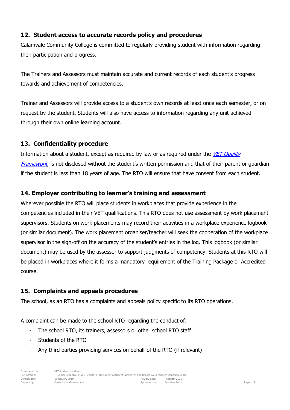#### **12. Student access to accurate records policy and procedures**

Calamvale Community College is committed to regularly providing student with information regarding their participation and progress.

The Trainers and Assessors must maintain accurate and current records of each student's progress towards and achievement of competencies.

Trainer and Assessors will provide access to a student's own records at least once each semester, or on request by the student. Students will also have access to information regarding any unit achieved through their own online learning account.

#### <span id="page-11-0"></span>**13. Confidentiality procedure**

Information about a student, except as required by law or as required under the VET Quality [Framework](http://www.asqa.gov.au/about-asqa/national-vet-regulation/vet-quality-framework.html), is not disclosed without the student's written permission and that of their parent or quardian if the student is less than 18 years of age. The RTO will ensure that have consent from each student.

#### <span id="page-11-1"></span>**14. Employer contributing to learner's training and assessment**

Wherever possible the RTO will place students in workplaces that provide experience in the competencies included in their VET qualifications. This RTO does not use assessment by work placement supervisors. Students on work placements may record their activities in a workplace experience logbook (or similar document). The work placement organiser/teacher will seek the cooperation of the workplace supervisor in the sign-off on the accuracy of the student's entries in the log. This logbook (or similar document) may be used by the assessor to support judgments of competency. Students at this RTO will be placed in workplaces where it forms a mandatory requirement of the Training Package or Accredited course.

#### <span id="page-11-2"></span>**15. Complaints and appeals procedures**

The school, as an RTO has a complaints and appeals policy specific to its RTO operations.

A complaint can be made to the school RTO regarding the conduct of:

- The school RTO, its trainers, assessors or other school RTO staff
- Students of the RTO
- Any third parties providing services on behalf of the RTO (if relevant)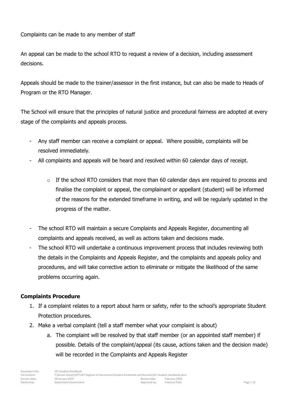Complaints can be made to any member of staff

An appeal can be made to the school RTO to request a review of a decision, including assessment decisions.

Appeals should be made to the trainer/assessor in the first instance, but can also be made to Heads of Program or the RTO Manager.

The School will ensure that the principles of natural justice and procedural fairness are adopted at every stage of the complaints and appeals process.

- Any staff member can receive a complaint or appeal. Where possible, complaints will be resolved immediately.
- All complaints and appeals will be heard and resolved within 60 calendar days of receipt.
	- $\circ$  If the school RTO considers that more than 60 calendar days are required to process and finalise the complaint or appeal, the complainant or appellant (student) will be informed of the reasons for the extended timeframe in writing, and will be regularly updated in the progress of the matter.
- The school RTO will maintain a secure Complaints and Appeals Register, documenting all complaints and appeals received, as well as actions taken and decisions made.
- The school RTO will undertake a continuous improvement process that includes reviewing both the details in the Complaints and Appeals Register, and the complaints and appeals policy and procedures, and will take corrective action to eliminate or mitigate the likelihood of the same problems occurring again.

#### **Complaints Procedure**

- 1. If a complaint relates to a report about harm or safety, refer to the school's appropriate Student Protection procedures.
- 2. Make a verbal complaint (tell a staff member what your complaint is about)
	- a. The complaint will be resolved by that staff member (or an appointed staff member) if possible. Details of the complaint/appeal (its cause, actions taken and the decision made) will be recorded in the Complaints and Appeals Register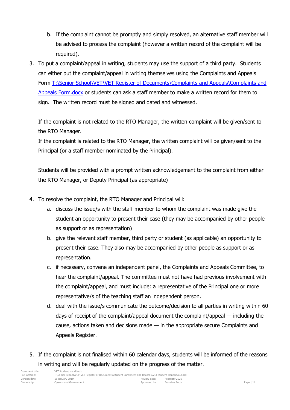- b. If the complaint cannot be promptly and simply resolved, an alternative staff member will be advised to process the complaint (however a written record of the complaint will be required).
- 3. To put a complaint/appeal in writing, students may use the support of a third party. Students can either put the complaint/appeal in writing themselves using the Complaints and Appeals Form [T:\Senior School\VET\VET Register of Documents\Complaints and Appeals\Complaints and](file://///eqgbn1699021/Teacher/Senior%20School/VET/VET%20Register%20of%20Documents/Complaints%20and%20Appeals/Complaints%20and%20Appeals%20Form.docx)  [Appeals Form.docx](file://///eqgbn1699021/Teacher/Senior%20School/VET/VET%20Register%20of%20Documents/Complaints%20and%20Appeals/Complaints%20and%20Appeals%20Form.docx) or students can ask a staff member to make a written record for them to sign. The written record must be signed and dated and witnessed.

If the complaint is not related to the RTO Manager, the written complaint will be given/sent to the RTO Manager.

If the complaint is related to the RTO Manager, the written complaint will be given/sent to the Principal (or a staff member nominated by the Principal).

Students will be provided with a prompt written acknowledgement to the complaint from either the RTO Manager, or Deputy Principal (as appropriate)

- 4. To resolve the complaint, the RTO Manager and Principal will:
	- a. discuss the issue/s with the staff member to whom the complaint was made give the student an opportunity to present their case (they may be accompanied by other people as support or as representation)
	- b. give the relevant staff member, third party or student (as applicable) an opportunity to present their case. They also may be accompanied by other people as support or as representation.
	- c. if necessary, convene an independent panel, the Complaints and Appeals Committee, to hear the complaint/appeal. The committee must not have had previous involvement with the complaint/appeal, and must include: a representative of the Principal one or more representative/s of the teaching staff an independent person.
	- d. deal with the issue/s communicate the outcome/decision to all parties in writing within 60 days of receipt of the complaint/appeal document the complaint/appeal — including the cause, actions taken and decisions made — in the appropriate secure Complaints and Appeals Register.
- 5. If the complaint is not finalised within 60 calendar days, students will be informed of the reasons in writing and will be regularly updated on the progress of the matter.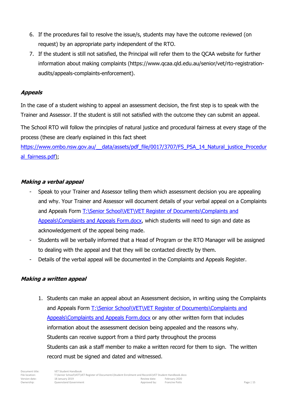- 6. If the procedures fail to resolve the issue/s, students may have the outcome reviewed (on request) by an appropriate party independent of the RTO.
- 7. If the student is still not satisfied, the Principal will refer them to the QCAA website for further information about making complaints (https://www.qcaa.qld.edu.au/senior/vet/rto-registrationaudits/appeals-complaints-enforcement).

#### **Appeals**

In the case of a student wishing to appeal an assessment decision, the first step is to speak with the Trainer and Assessor. If the student is still not satisfied with the outcome they can submit an appeal.

The School RTO will follow the principles of natural justice and procedural fairness at every stage of the process (these are clearly explained in this fact sheet

https://www.ombo.nsw.gov.au/ data/assets/pdf file/0017/3707/FS\_PSA\_14\_Natural\_justice\_Procedur [al\\_fairness.pdf\)](https://www.ombo.nsw.gov.au/__data/assets/pdf_file/0017/3707/FS_PSA_14_Natural_justice_Procedural_fairness.pdf);

#### **Making a verbal appeal**

- Speak to your Trainer and Assessor telling them which assessment decision you are appealing and why. Your Trainer and Assessor will document details of your verbal appeal on a Complaints and Appeals Form T:\Senior School\VET\VET Register of Documents\Complaints and [Appeals\Complaints and Appeals Form.docx,](file://///eqgbn1699021/Teacher/Senior%20School/VET/VET%20Register%20of%20Documents/Complaints%20and%20Appeals/Complaints%20and%20Appeals%20Form.docx) which students will need to sign and date as acknowledgement of the appeal being made.
- Students will be verbally informed that a Head of Program or the RTO Manager will be assigned to dealing with the appeal and that they will be contacted directly by them.
- Details of the verbal appeal will be documented in the Complaints and Appeals Register.

#### **Making a written appeal**

1. Students can make an appeal about an Assessment decision, in writing using the Complaints and Appeals Form T:\Senior School\VET\VET Register of Documents\Complaints and [Appeals\Complaints and Appeals Form.docx](file://///eqgbn1699021/Teacher/Senior%20School/VET/VET%20Register%20of%20Documents/Complaints%20and%20Appeals/Complaints%20and%20Appeals%20Form.docx) or any other written form that includes information about the assessment decision being appealed and the reasons why. Students can receive support from a third party throughout the process Students can ask a staff member to make a written record for them to sign. The written record must be signed and dated and witnessed.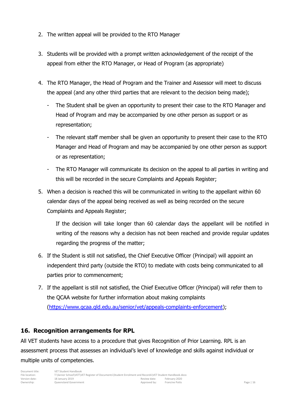- 2. The written appeal will be provided to the RTO Manager
- 3. Students will be provided with a prompt written acknowledgement of the receipt of the appeal from either the RTO Manager, or Head of Program (as appropriate)
- 4. The RTO Manager, the Head of Program and the Trainer and Assessor will meet to discuss the appeal (and any other third parties that are relevant to the decision being made);
	- The Student shall be given an opportunity to present their case to the RTO Manager and Head of Program and may be accompanied by one other person as support or as representation;
	- The relevant staff member shall be given an opportunity to present their case to the RTO Manager and Head of Program and may be accompanied by one other person as support or as representation;
	- The RTO Manager will communicate its decision on the appeal to all parties in writing and this will be recorded in the secure Complaints and Appeals Register;
- 5. When a decision is reached this will be communicated in writing to the appellant within 60 calendar days of the appeal being received as well as being recorded on the secure Complaints and Appeals Register;

If the decision will take longer than 60 calendar days the appellant will be notified in writing of the reasons why a decision has not been reached and provide regular updates regarding the progress of the matter;

- 6. If the Student is still not satisfied, the Chief Executive Officer (Principal) will appoint an independent third party (outside the RTO) to mediate with costs being communicated to all parties prior to commencement;
- 7. If the appellant is still not satisfied, the Chief Executive Officer (Principal) will refer them to the QCAA website for further information about making complaints [\(https://www.qcaa.qld.edu.au/senior/vet/appeals-complaints-enforcement\)](https://www.qcaa.qld.edu.au/senior/vet/appeals-complaints-enforcement);

#### <span id="page-15-0"></span>**16. Recognition arrangements for RPL**

All VET students have access to a procedure that gives Recognition of Prior Learning. RPL is an assessment process that assesses an individual's level of knowledge and skills against individual or multiple units of competencies.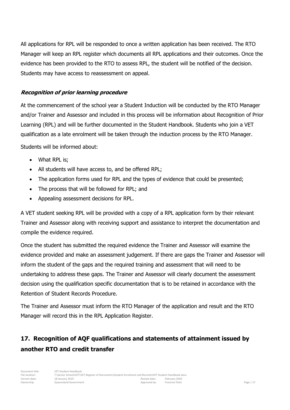All applications for RPL will be responded to once a written application has been received. The RTO Manager will keep an RPL register which documents all RPL applications and their outcomes. Once the evidence has been provided to the RTO to assess RPL, the student will be notified of the decision. Students may have access to reassessment on appeal.

#### **Recognition of prior learning procedure**

At the commencement of the school year a Student Induction will be conducted by the RTO Manager and/or Trainer and Assessor and included in this process will be information about Recognition of Prior Learning (RPL) and will be further documented in the Student Handbook. Students who join a VET qualification as a late enrolment will be taken through the induction process by the RTO Manager.

Students will be informed about:

- What RPL is:
- All students will have access to, and be offered RPL;
- The application forms used for RPL and the types of evidence that could be presented;
- The process that will be followed for RPL; and
- Appealing assessment decisions for RPL.

A VET student seeking RPL will be provided with a copy of a RPL application form by their relevant Trainer and Assessor along with receiving support and assistance to interpret the documentation and compile the evidence required.

Once the student has submitted the required evidence the Trainer and Assessor will examine the evidence provided and make an assessment judgement. If there are gaps the Trainer and Assessor will inform the student of the gaps and the required training and assessment that will need to be undertaking to address these gaps. The Trainer and Assessor will clearly document the assessment decision using the qualification specific documentation that is to be retained in accordance with the Retention of Student Records Procedure.

The Trainer and Assessor must inform the RTO Manager of the application and result and the RTO Manager will record this in the RPL Application Register.

### <span id="page-16-0"></span>**17. Recognition of AQF qualifications and statements of attainment issued by another RTO and credit transfer**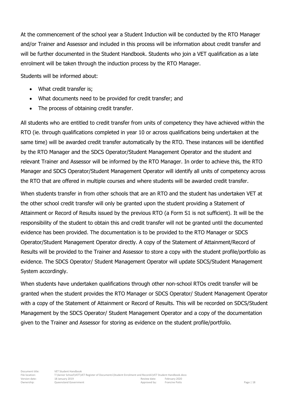At the commencement of the school year a Student Induction will be conducted by the RTO Manager and/or Trainer and Assessor and included in this process will be information about credit transfer and will be further documented in the Student Handbook. Students who join a VET qualification as a late enrolment will be taken through the induction process by the RTO Manager.

Students will be informed about:

- What credit transfer is;
- What documents need to be provided for credit transfer; and
- The process of obtaining credit transfer.

All students who are entitled to credit transfer from units of competency they have achieved within the RTO (ie. through qualifications completed in year 10 or across qualifications being undertaken at the same time) will be awarded credit transfer automatically by the RTO. These instances will be identified by the RTO Manager and the SDCS Operator/Student Management Operator and the student and relevant Trainer and Assessor will be informed by the RTO Manager. In order to achieve this, the RTO Manager and SDCS Operator/Student Management Operator will identify all units of competency across the RTO that are offered in multiple courses and where students will be awarded credit transfer.

When students transfer in from other schools that are an RTO and the student has undertaken VET at the other school credit transfer will only be granted upon the student providing a Statement of Attainment or Record of Results issued by the previous RTO (a Form S1 is not sufficient). It will be the responsibility of the student to obtain this and credit transfer will not be granted until the documented evidence has been provided. The documentation is to be provided to the RTO Manager or SDCS Operator/Student Management Operator directly. A copy of the Statement of Attainment/Record of Results will be provided to the Trainer and Assessor to store a copy with the student profile/portfolio as evidence. The SDCS Operator/ Student Management Operator will update SDCS/Student Management System accordingly.

When students have undertaken qualifications through other non-school RTOs credit transfer will be granted when the student provides the RTO Manager or SDCS Operator/ Student Management Operator with a copy of the Statement of Attainment or Record of Results. This will be recorded on SDCS/Student Management by the SDCS Operator/ Student Management Operator and a copy of the documentation given to the Trainer and Assessor for storing as evidence on the student profile/portfolio.

<span id="page-17-0"></span>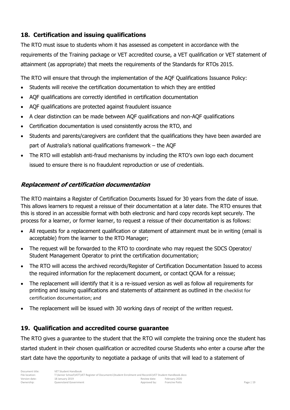#### **18. Certification and issuing qualifications**

The RTO must issue to students whom it has assessed as competent in accordance with the requirements of the Training package or VET accredited course, a VET qualification or VET statement of attainment (as appropriate) that meets the requirements of the Standards for RTOs 2015.

The RTO will ensure that through the implementation of the AQF Qualifications Issuance Policy:

- Students will receive the certification documentation to which they are entitled
- AQF qualifications are correctly identified in certification documentation
- AQF qualifications are protected against fraudulent issuance
- A clear distinction can be made between AQF qualifications and non-AQF qualifications
- Certification documentation is used consistently across the RTO, and
- Students and parents/caregivers are confident that the qualifications they have been awarded are part of Australia's national qualifications framework – the AQF
- The RTO will establish anti-fraud mechanisms by including the RTO's own logo each document issued to ensure there is no fraudulent reproduction or use of credentials.

#### **Replacement of certification documentation**

The RTO maintains a Register of Certification Documents Issued for 30 years from the date of issue. This allows learners to request a reissue of their documentation at a later date. The RTO ensures that this is stored in an accessible format with both electronic and hard copy records kept securely. The process for a learner, or former learner, to request a reissue of their documentation is as follows:

- All requests for a replacement qualification or statement of attainment must be in writing (email is acceptable) from the learner to the RTO Manager;
- The request will be forwarded to the RTO to coordinate who may request the SDCS Operator/ Student Management Operator to print the certification documentation;
- The RTO will access the archived records/Register of Certification Documentation Issued to access the required information for the replacement document, or contact QCAA for a reissue;
- The replacement will identify that it is a re-issued version as well as follow all requirements for printing and issuing qualifications and statements of attainment as outlined in the checklist for certification documentation; and
- The replacement will be issued with 30 working days of receipt of the written request.

#### <span id="page-18-0"></span>**19. Qualification and accredited course guarantee**

The RTO gives a guarantee to the student that the RTO will complete the training once the student has started student in their chosen qualification or accredited course Students who enter a course after the start date have the opportunity to negotiate a package of units that will lead to a statement of

| Document title:<br>File location: | VFT Student Handbook<br>T:\Senior School\VET\VET Register of Documents\Student Enrolment and Records\VET Student Handbook.docx |              |                |            |
|-----------------------------------|--------------------------------------------------------------------------------------------------------------------------------|--------------|----------------|------------|
| Version date:                     | 18 January 2019                                                                                                                | Review date: | February 2020  |            |
| Ownership:                        | Queensland Government                                                                                                          | Approved by: | Francine Potts | Page $ 19$ |